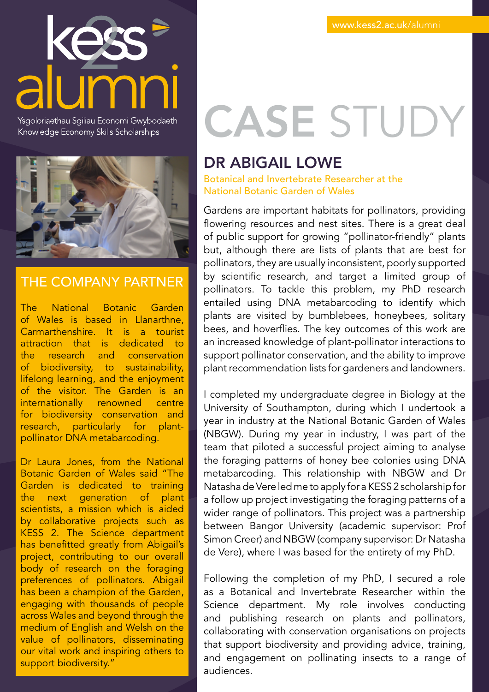

Ysgoloriaethau Sgiliau Economi Gwybodaeth Knowledge Economy Skills Scholarships



#### THE COMPANY PARTNER

The National Botanic Garden of Wales is based in Llanarthne, Carmarthenshire. It is a tourist attraction that is dedicated to the research and conservation of biodiversity, to sustainability, lifelong learning, and the enjoyment of the visitor. The Garden is an internationally renowned centre for biodiversity conservation and research, particularly for plantpollinator DNA metabarcoding.

Dr Laura Jones, from the National Botanic Garden of Wales said "The Garden is dedicated to training the next generation of plant scientists, a mission which is aided by collaborative projects such as KESS 2. The Science department has benefitted greatly from Abigail's project, contributing to our overall body of research on the foraging preferences of pollinators. Abigail has been a champion of the Garden, engaging with thousands of people across Wales and beyond through the medium of English and Welsh on the value of pollinators, disseminating our vital work and inspiring others to support biodiversity."

# CASE STUDY

#### DR ABIGAIL LOWE

Botanical and Invertebrate Researcher at the National Botanic Garden of Wales

Gardens are important habitats for pollinators, providing flowering resources and nest sites. There is a great deal of public support for growing "pollinator-friendly" plants but, although there are lists of plants that are best for pollinators, they are usually inconsistent, poorly supported by scientific research, and target a limited group of pollinators. To tackle this problem, my PhD research entailed using DNA metabarcoding to identify which plants are visited by bumblebees, honeybees, solitary bees, and hoverflies. The key outcomes of this work are an increased knowledge of plant-pollinator interactions to support pollinator conservation, and the ability to improve plant recommendation lists for gardeners and landowners.

I completed my undergraduate degree in Biology at the University of Southampton, during which I undertook a year in industry at the National Botanic Garden of Wales (NBGW). During my year in industry, I was part of the team that piloted a successful project aiming to analyse the foraging patterns of honey bee colonies using DNA metabarcoding. This relationship with NBGW and Dr Natasha de Vere led me to apply for a KESS 2 scholarship for a follow up project investigating the foraging patterns of a wider range of pollinators. This project was a partnership between Bangor University (academic supervisor: Prof Simon Creer) and NBGW (company supervisor: Dr Natasha de Vere), where I was based for the entirety of my PhD.

Following the completion of my PhD, I secured a role as a Botanical and Invertebrate Researcher within the Science department. My role involves conducting and publishing research on plants and pollinators, collaborating with conservation organisations on projects that support biodiversity and providing advice, training, and engagement on pollinating insects to a range of audiences.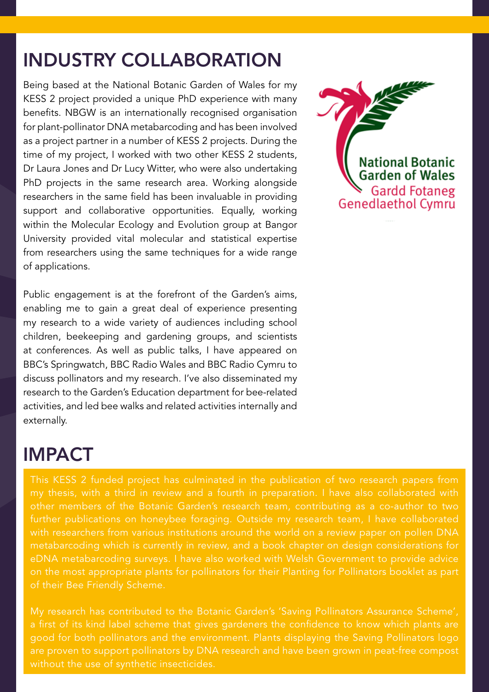#### INDUSTRY COLLABORATION

Being based at the National Botanic Garden of Wales for my KESS 2 project provided a unique PhD experience with many benefits. NBGW is an internationally recognised organisation for plant-pollinator DNA metabarcoding and has been involved as a project partner in a number of KESS 2 projects. During the time of my project, I worked with two other KESS 2 students, Dr Laura Jones and Dr Lucy Witter, who were also undertaking PhD projects in the same research area. Working alongside researchers in the same field has been invaluable in providing support and collaborative opportunities. Equally, working within the Molecular Ecology and Evolution group at Bangor University provided vital molecular and statistical expertise from researchers using the same techniques for a wide range of applications.

Public engagement is at the forefront of the Garden's aims, enabling me to gain a great deal of experience presenting my research to a wide variety of audiences including school children, beekeeping and gardening groups, and scientists at conferences. As well as public talks, I have appeared on BBC's Springwatch, BBC Radio Wales and BBC Radio Cymru to discuss pollinators and my research. I've also disseminated my research to the Garden's Education department for bee-related activities, and led bee walks and related activities internally and externally.

## IMPACT

This KESS 2 funded project has culminated in the publication of two research papers from with researchers from various institutions around the world on a review paper on pollen DNA metabarcoding which is currently in review, and a book chapter on design considerations for on the most appropriate plants for pollinators for their Planting for Pollinators booklet as part of their Bee Friendly Scheme.

a first of its kind label scheme that gives gardeners the confidence to know which plants are good for both pollinators and the environment. Plants displaying the Saving Pollinators logo are proven to support pollinators by DNA research and have been grown in peat-free compost

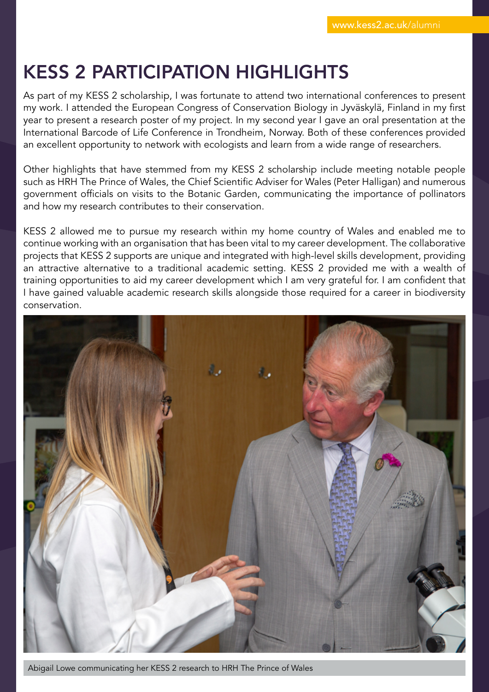# KESS 2 PARTICIPATION HIGHLIGHTS

As part of my KESS 2 scholarship, I was fortunate to attend two international conferences to present my work. I attended the European Congress of Conservation Biology in Jyväskylä, Finland in my first year to present a research poster of my project. In my second year I gave an oral presentation at the International Barcode of Life Conference in Trondheim, Norway. Both of these conferences provided an excellent opportunity to network with ecologists and learn from a wide range of researchers.

Other highlights that have stemmed from my KESS 2 scholarship include meeting notable people such as HRH The Prince of Wales, the Chief Scientific Adviser for Wales (Peter Halligan) and numerous government officials on visits to the Botanic Garden, communicating the importance of pollinators and how my research contributes to their conservation.

KESS 2 allowed me to pursue my research within my home country of Wales and enabled me to continue working with an organisation that has been vital to my career development. The collaborative projects that KESS 2 supports are unique and integrated with high-level skills development, providing an attractive alternative to a traditional academic setting. KESS 2 provided me with a wealth of training opportunities to aid my career development which I am very grateful for. I am confident that I have gained valuable academic research skills alongside those required for a career in biodiversity conservation.



Abigail Lowe communicating her KESS 2 research to HRH The Prince of Wales